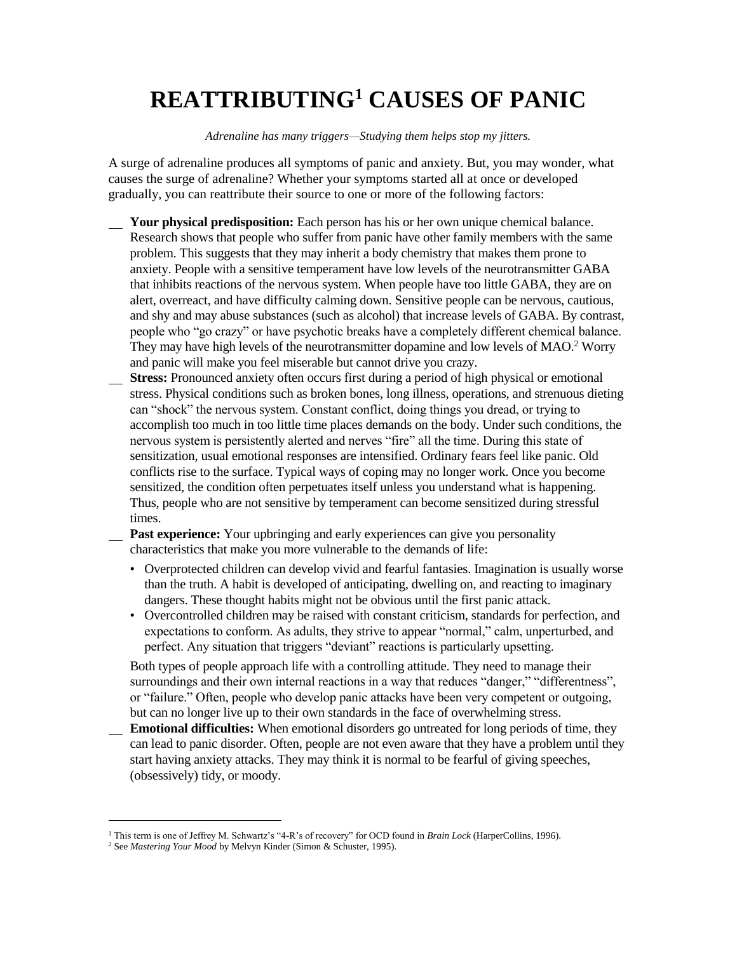## **REATTRIBUTING<sup>1</sup> CAUSES OF PANIC**

*Adrenaline has many triggers—Studying them helps stop my jitters.*

A surge of adrenaline produces all symptoms of panic and anxiety. But, you may wonder, what causes the surge of adrenaline? Whether your symptoms started all at once or developed gradually, you can reattribute their source to one or more of the following factors:

- **Your physical predisposition:** Each person has his or her own unique chemical balance. Research shows that people who suffer from panic have other family members with the same problem. This suggests that they may inherit a body chemistry that makes them prone to anxiety. People with a sensitive temperament have low levels of the neurotransmitter GABA that inhibits reactions of the nervous system. When people have too little GABA, they are on alert, overreact, and have difficulty calming down. Sensitive people can be nervous, cautious, and shy and may abuse substances (such as alcohol) that increase levels of GABA. By contrast, people who "go crazy" or have psychotic breaks have a completely different chemical balance. They may have high levels of the neurotransmitter dopamine and low levels of MAO.<sup>2</sup> Worry and panic will make you feel miserable but cannot drive you crazy.
- **Stress:** Pronounced anxiety often occurs first during a period of high physical or emotional stress. Physical conditions such as broken bones, long illness, operations, and strenuous dieting can "shock" the nervous system. Constant conflict, doing things you dread, or trying to accomplish too much in too little time places demands on the body. Under such conditions, the nervous system is persistently alerted and nerves "fire" all the time. During this state of sensitization, usual emotional responses are intensified. Ordinary fears feel like panic. Old conflicts rise to the surface. Typical ways of coping may no longer work. Once you become sensitized, the condition often perpetuates itself unless you understand what is happening. Thus, people who are not sensitive by temperament can become sensitized during stressful times.
- **Past experience:** Your upbringing and early experiences can give you personality characteristics that make you more vulnerable to the demands of life:
	- Overprotected children can develop vivid and fearful fantasies. Imagination is usually worse than the truth. A habit is developed of anticipating, dwelling on, and reacting to imaginary dangers. These thought habits might not be obvious until the first panic attack.
	- Overcontrolled children may be raised with constant criticism, standards for perfection, and expectations to conform. As adults, they strive to appear "normal," calm, unperturbed, and perfect. Any situation that triggers "deviant" reactions is particularly upsetting.

Both types of people approach life with a controlling attitude. They need to manage their surroundings and their own internal reactions in a way that reduces "danger," "differentness", or "failure." Often, people who develop panic attacks have been very competent or outgoing, but can no longer live up to their own standards in the face of overwhelming stress.

**Emotional difficulties:** When emotional disorders go untreated for long periods of time, they can lead to panic disorder. Often, people are not even aware that they have a problem until they start having anxiety attacks. They may think it is normal to be fearful of giving speeches, (obsessively) tidy, or moody.

l

<sup>1</sup> This term is one of Jeffrey M. Schwartz's "4-R's of recovery" for OCD found in *Brain Lock* (HarperCollins, 1996).

<sup>2</sup> See *Mastering Your Mood* by Melvyn Kinder (Simon & Schuster, 1995).